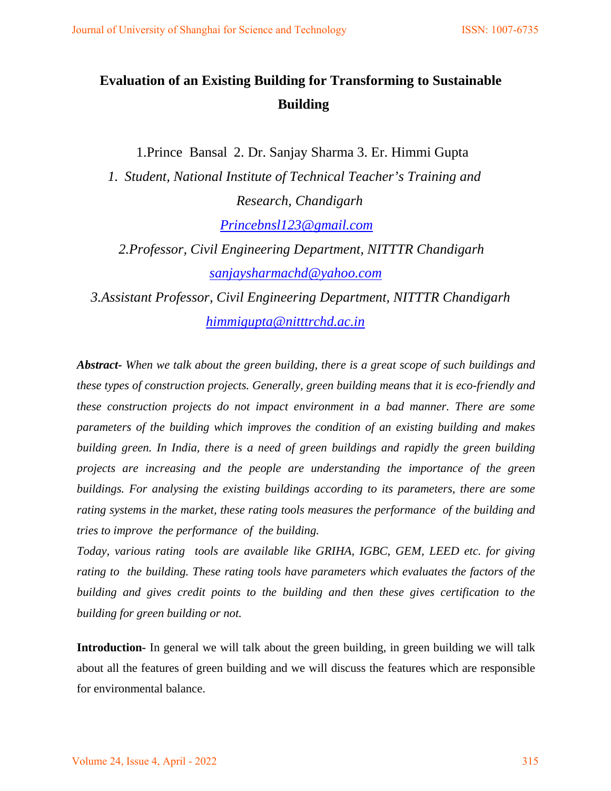# **Evaluation of an Existing Building for Transforming to Sustainable Building**

1.Prince Bansal 2. Dr. Sanjay Sharma 3. Er. Himmi Gupta

*1. Student, National Institute of Technical Teacher's Training and Research, Chandigarh*

 *[Princebnsl123@gmail.com](mailto:Princebnsl123@gmail.com)* 

 *2.Professor, Civil Engineering Department, NITTTR Chandigarh [sanjaysharmachd@yahoo.com](mailto:sanjaysharmachd@yahoo.com)* 

 *3.Assistant Professor, Civil Engineering Department, NITTTR Chandigarh [himmigupta@nitttrchd.ac.in](mailto:himmigupta@nitttrchd.ac.in)* 

*Abstract- When we talk about the green building, there is a great scope of such buildings and these types of construction projects. Generally, green building means that it is eco-friendly and these construction projects do not impact environment in a bad manner. There are some parameters of the building which improves the condition of an existing building and makes building green. In India, there is a need of green buildings and rapidly the green building projects are increasing and the people are understanding the importance of the green buildings. For analysing the existing buildings according to its parameters, there are some rating systems in the market, these rating tools measures the performance of the building and tries to improve the performance of the building.* 

*Today, various rating tools are available like GRIHA, IGBC, GEM, LEED etc. for giving rating to the building. These rating tools have parameters which evaluates the factors of the building and gives credit points to the building and then these gives certification to the building for green building or not.* 

**Introduction-** In general we will talk about the green building, in green building we will talk about all the features of green building and we will discuss the features which are responsible for environmental balance.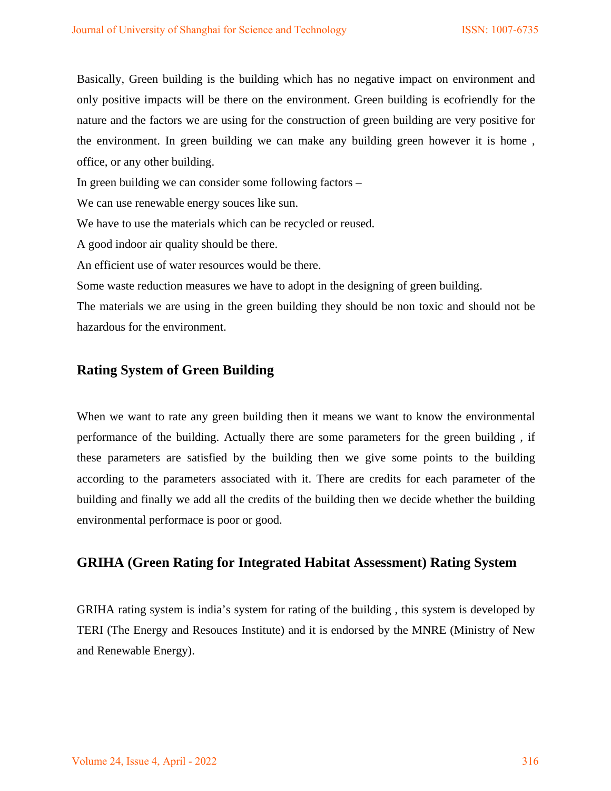Basically, Green building is the building which has no negative impact on environment and only positive impacts will be there on the environment. Green building is ecofriendly for the nature and the factors we are using for the construction of green building are very positive for the environment. In green building we can make any building green however it is home , office, or any other building.

In green building we can consider some following factors –

We can use renewable energy souces like sun.

We have to use the materials which can be recycled or reused.

A good indoor air quality should be there.

An efficient use of water resources would be there.

Some waste reduction measures we have to adopt in the designing of green building.

The materials we are using in the green building they should be non toxic and should not be hazardous for the environment.

# **Rating System of Green Building**

When we want to rate any green building then it means we want to know the environmental performance of the building. Actually there are some parameters for the green building , if these parameters are satisfied by the building then we give some points to the building according to the parameters associated with it. There are credits for each parameter of the building and finally we add all the credits of the building then we decide whether the building environmental performace is poor or good.

### **GRIHA (Green Rating for Integrated Habitat Assessment) Rating System**

GRIHA rating system is india's system for rating of the building , this system is developed by TERI (The Energy and Resouces Institute) and it is endorsed by the MNRE (Ministry of New and Renewable Energy).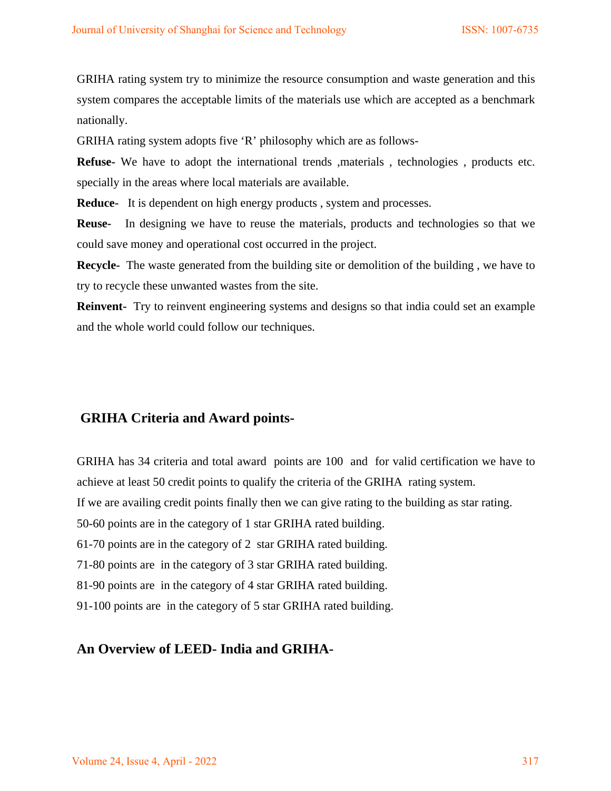GRIHA rating system try to minimize the resource consumption and waste generation and this system compares the acceptable limits of the materials use which are accepted as a benchmark nationally.

GRIHA rating system adopts five 'R' philosophy which are as follows-

**Refuse-** We have to adopt the international trends , materials , technologies , products etc. specially in the areas where local materials are available.

**Reduce-** It is dependent on high energy products , system and processes.

**Reuse-** In designing we have to reuse the materials, products and technologies so that we could save money and operational cost occurred in the project.

**Recycle-** The waste generated from the building site or demolition of the building , we have to try to recycle these unwanted wastes from the site.

**Reinvent-** Try to reinvent engineering systems and designs so that india could set an example and the whole world could follow our techniques.

### **GRIHA Criteria and Award points-**

GRIHA has 34 criteria and total award points are 100 and for valid certification we have to achieve at least 50 credit points to qualify the criteria of the GRIHA rating system. If we are availing credit points finally then we can give rating to the building as star rating. 50-60 points are in the category of 1 star GRIHA rated building. 61-70 points are in the category of 2 star GRIHA rated building. 71-80 points are in the category of 3 star GRIHA rated building. 81-90 points are in the category of 4 star GRIHA rated building. 91-100 points are in the category of 5 star GRIHA rated building.

### **An Overview of LEED- India and GRIHA-**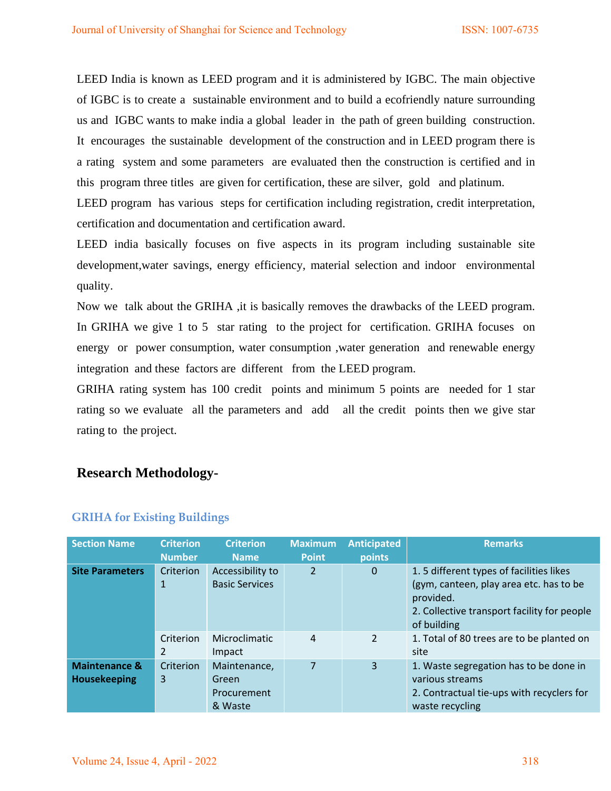LEED India is known as LEED program and it is administered by IGBC. The main objective of IGBC is to create a sustainable environment and to build a ecofriendly nature surrounding us and IGBC wants to make india a global leader in the path of green building construction. It encourages the sustainable development of the construction and in LEED program there is a rating system and some parameters are evaluated then the construction is certified and in this program three titles are given for certification, these are silver, gold and platinum.

LEED program has various steps for certification including registration, credit interpretation, certification and documentation and certification award.

LEED india basically focuses on five aspects in its program including sustainable site development,water savings, energy efficiency, material selection and indoor environmental quality.

Now we talk about the GRIHA ,it is basically removes the drawbacks of the LEED program. In GRIHA we give 1 to 5 star rating to the project for certification. GRIHA focuses on energy or power consumption, water consumption ,water generation and renewable energy integration and these factors are different from the LEED program.

GRIHA rating system has 100 credit points and minimum 5 points are needed for 1 star rating so we evaluate all the parameters and add all the credit points then we give star rating to the project.

### **Research Methodology-**

| <b>Section Name</b>                             | <b>Criterion</b> | <b>Criterion</b>                                | <b>Maximum</b> | <b>Anticipated</b> | <b>Remarks</b>                                                                                                                                                |
|-------------------------------------------------|------------------|-------------------------------------------------|----------------|--------------------|---------------------------------------------------------------------------------------------------------------------------------------------------------------|
|                                                 | <b>Number</b>    | <b>Name</b>                                     | <b>Point</b>   | points             |                                                                                                                                                               |
| <b>Site Parameters</b>                          | Criterion<br>1   | Accessibility to<br><b>Basic Services</b>       | 2              | 0                  | 1.5 different types of facilities likes<br>(gym, canteen, play area etc. has to be<br>provided.<br>2. Collective transport facility for people<br>of building |
|                                                 | Criterion<br>2   | <b>Microclimatic</b><br>Impact                  | 4              | 2                  | 1. Total of 80 trees are to be planted on<br>site                                                                                                             |
| <b>Maintenance &amp;</b><br><b>Housekeeping</b> | Criterion<br>3   | Maintenance,<br>Green<br>Procurement<br>& Waste | 7              | 3                  | 1. Waste segregation has to be done in<br>various streams<br>2. Contractual tie-ups with recyclers for<br>waste recycling                                     |

#### **GRIHA for Existing Buildings**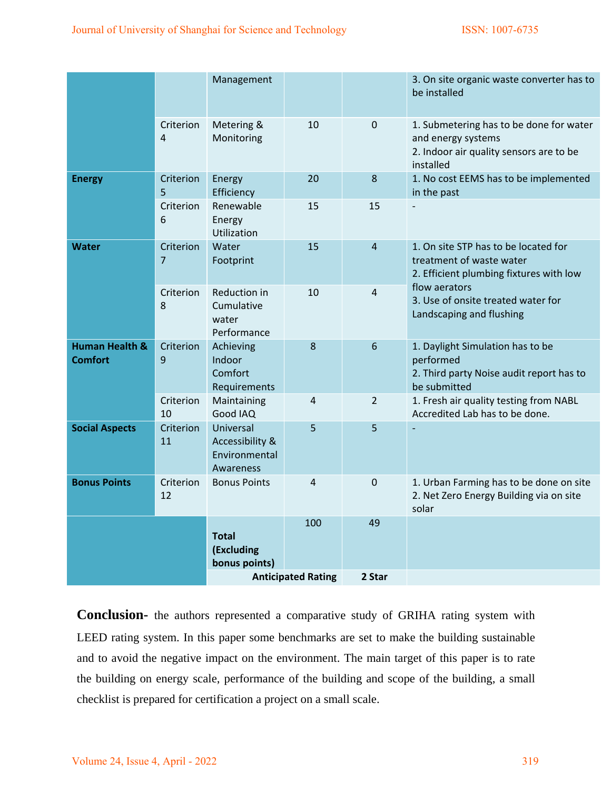|                             | bonus points)                                              |            |                |                                                                                                                       |
|-----------------------------|------------------------------------------------------------|------------|----------------|-----------------------------------------------------------------------------------------------------------------------|
|                             | <b>Total</b><br>(Excluding                                 | 100        | 49             |                                                                                                                       |
| Criterion<br>12             | <b>Bonus Points</b>                                        | 4          | $\overline{0}$ | 1. Urban Farming has to be done on site<br>2. Net Zero Energy Building via on site<br>solar                           |
| Criterion<br>11             | Universal<br>Accessibility &<br>Environmental<br>Awareness | 5          | 5              |                                                                                                                       |
| Criterion<br>10             | Maintaining<br>Good IAQ                                    | 4          | $\overline{2}$ | 1. Fresh air quality testing from NABL<br>Accredited Lab has to be done.                                              |
| Criterion<br>9              | Achieving<br>Indoor<br>Comfort<br>Requirements             | 8          | $6\,$          | 1. Daylight Simulation has to be<br>performed<br>2. Third party Noise audit report has to<br>be submitted             |
| Criterion<br>8              | Reduction in<br>Cumulative<br>water<br>Performance         | 10         | 4              | flow aerators<br>3. Use of onsite treated water for<br>Landscaping and flushing                                       |
| Criterion<br>$\overline{7}$ | Water<br>Footprint                                         | 15         | $\overline{4}$ | 1. On site STP has to be located for<br>treatment of waste water<br>2. Efficient plumbing fixtures with low           |
| Criterion<br>6              | Renewable<br>Energy<br>Utilization                         | 15         | 15             |                                                                                                                       |
| Criterion<br>5              | Energy                                                     | 20         | $\bf 8$        | 1. No cost EEMS has to be implemented<br>in the past                                                                  |
| Criterion<br>$\overline{4}$ | Metering &<br>Monitoring                                   | 10         | $\mathbf 0$    | 1. Submetering has to be done for water<br>and energy systems<br>2. Indoor air quality sensors are to be<br>installed |
|                             | Management                                                 |            |                | 3. On site organic waste converter has to<br>be installed                                                             |
|                             |                                                            | Efficiency |                |                                                                                                                       |

**Conclusion-** the authors represented a comparative study of GRIHA rating system with LEED rating system. In this paper some benchmarks are set to make the building sustainable and to avoid the negative impact on the environment. The main target of this paper is to rate the building on energy scale, performance of the building and scope of the building, a small checklist is prepared for certification a project on a small scale.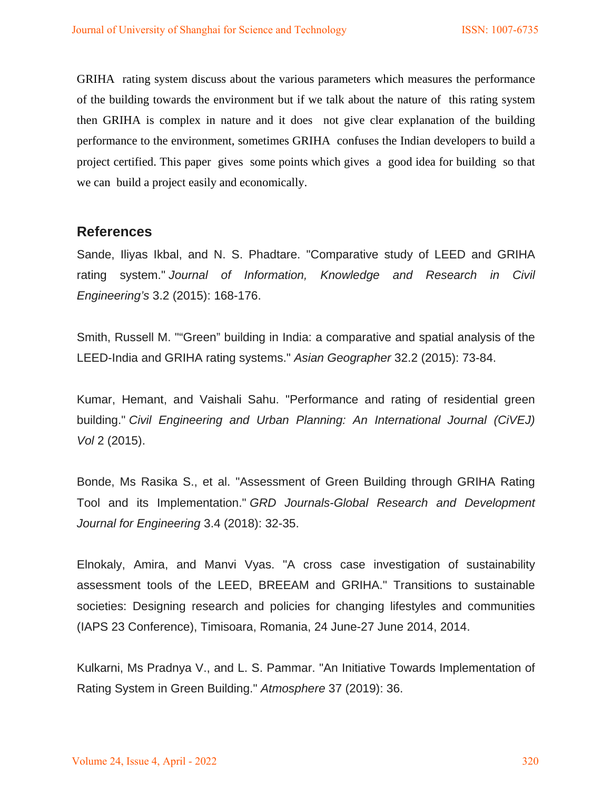GRIHA rating system discuss about the various parameters which measures the performance of the building towards the environment but if we talk about the nature of this rating system then GRIHA is complex in nature and it does not give clear explanation of the building performance to the environment, sometimes GRIHA confuses the Indian developers to build a project certified. This paper gives some points which gives a good idea for building so that we can build a project easily and economically.

# **References**

Sande, Iliyas Ikbal, and N. S. Phadtare. "Comparative study of LEED and GRIHA rating system." *Journal of Information, Knowledge and Research in Civil Engineering's* 3.2 (2015): 168-176.

Smith, Russell M. ""Green" building in India: a comparative and spatial analysis of the LEED-India and GRIHA rating systems." *Asian Geographer* 32.2 (2015): 73-84.

Kumar, Hemant, and Vaishali Sahu. "Performance and rating of residential green building." *Civil Engineering and Urban Planning: An International Journal (CiVEJ) Vol* 2 (2015).

Bonde, Ms Rasika S., et al. "Assessment of Green Building through GRIHA Rating Tool and its Implementation." *GRD Journals-Global Research and Development Journal for Engineering* 3.4 (2018): 32-35.

Elnokaly, Amira, and Manvi Vyas. "A cross case investigation of sustainability assessment tools of the LEED, BREEAM and GRIHA." Transitions to sustainable societies: Designing research and policies for changing lifestyles and communities (IAPS 23 Conference), Timisoara, Romania, 24 June-27 June 2014, 2014.

Kulkarni, Ms Pradnya V., and L. S. Pammar. "An Initiative Towards Implementation of Rating System in Green Building." *Atmosphere* 37 (2019): 36.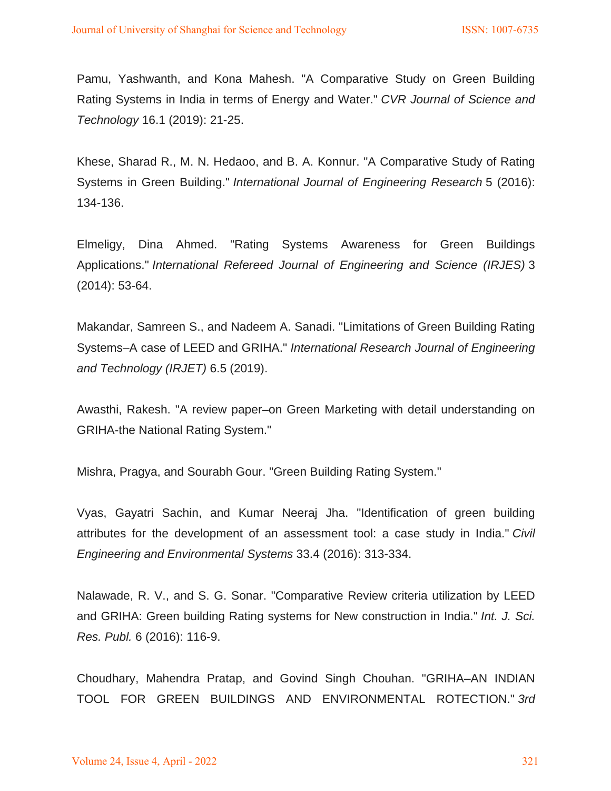Pamu, Yashwanth, and Kona Mahesh. "A Comparative Study on Green Building Rating Systems in India in terms of Energy and Water." *CVR Journal of Science and Technology* 16.1 (2019): 21-25.

Khese, Sharad R., M. N. Hedaoo, and B. A. Konnur. "A Comparative Study of Rating Systems in Green Building." *International Journal of Engineering Research* 5 (2016): 134-136.

Elmeligy, Dina Ahmed. "Rating Systems Awareness for Green Buildings Applications." *International Refereed Journal of Engineering and Science (IRJES)* 3 (2014): 53-64.

Makandar, Samreen S., and Nadeem A. Sanadi. "Limitations of Green Building Rating Systems–A case of LEED and GRIHA." *International Research Journal of Engineering and Technology (IRJET)* 6.5 (2019).

Awasthi, Rakesh. "A review paper–on Green Marketing with detail understanding on GRIHA-the National Rating System."

Mishra, Pragya, and Sourabh Gour. "Green Building Rating System."

Vyas, Gayatri Sachin, and Kumar Neeraj Jha. "Identification of green building attributes for the development of an assessment tool: a case study in India." *Civil Engineering and Environmental Systems* 33.4 (2016): 313-334.

Nalawade, R. V., and S. G. Sonar. "Comparative Review criteria utilization by LEED and GRIHA: Green building Rating systems for New construction in India." *Int. J. Sci. Res. Publ.* 6 (2016): 116-9.

Choudhary, Mahendra Pratap, and Govind Singh Chouhan. "GRIHA–AN INDIAN TOOL FOR GREEN BUILDINGS AND ENVIRONMENTAL ROTECTION." *3rd*